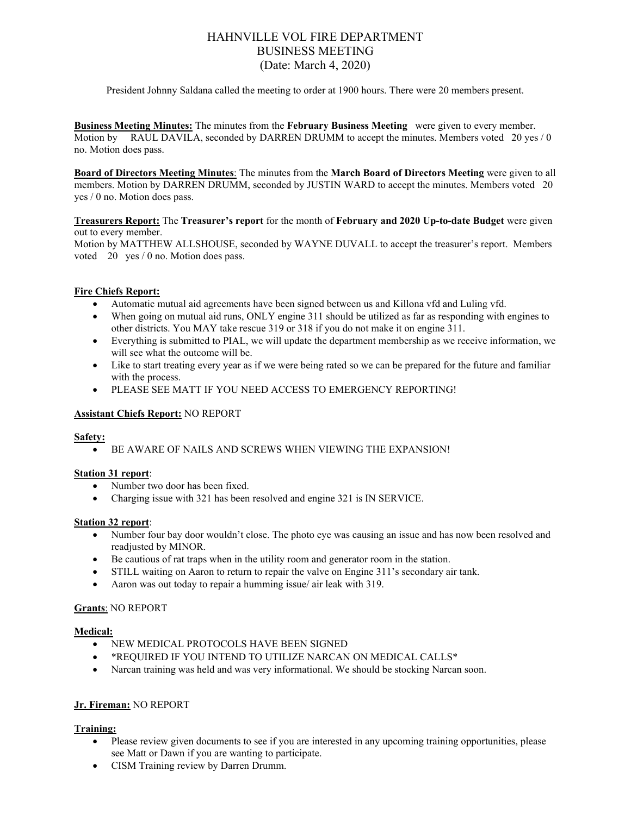# HAHNVILLE VOL FIRE DEPARTMENT BUSINESS MEETING (Date: March 4, 2020)

President Johnny Saldana called the meeting to order at 1900 hours. There were 20 members present.

**Business Meeting Minutes:** The minutes from the **February Business Meeting** were given to every member. Motion by RAUL DAVILA, seconded by DARREN DRUMM to accept the minutes. Members voted 20 yes / 0 no. Motion does pass.

**Board of Directors Meeting Minutes**: The minutes from the **March Board of Directors Meeting** were given to all members. Motion by DARREN DRUMM, seconded by JUSTIN WARD to accept the minutes. Members voted 20 yes / 0 no. Motion does pass.

**Treasurers Report:** The **Treasurer's report** for the month of **February and 2020 Up-to-date Budget** were given out to every member.

Motion by MATTHEW ALLSHOUSE, seconded by WAYNE DUVALL to accept the treasurer's report. Members voted 20 yes / 0 no. Motion does pass.

# **Fire Chiefs Report:**

- Automatic mutual aid agreements have been signed between us and Killona vfd and Luling vfd.
- When going on mutual aid runs, ONLY engine 311 should be utilized as far as responding with engines to other districts. You MAY take rescue 319 or 318 if you do not make it on engine 311.
- Everything is submitted to PIAL, we will update the department membership as we receive information, we will see what the outcome will be.
- Like to start treating every year as if we were being rated so we can be prepared for the future and familiar with the process.
- PLEASE SEE MATT IF YOU NEED ACCESS TO EMERGENCY REPORTING!

# **Assistant Chiefs Report:** NO REPORT

#### **Safety:**

• BE AWARE OF NAILS AND SCREWS WHEN VIEWING THE EXPANSION!

# **Station 31 report**:

- Number two door has been fixed.
- Charging issue with 321 has been resolved and engine 321 is IN SERVICE.

#### **Station 32 report**:

- Number four bay door wouldn't close. The photo eye was causing an issue and has now been resolved and readjusted by MINOR.
- Be cautious of rat traps when in the utility room and generator room in the station.
- STILL waiting on Aaron to return to repair the valve on Engine 311's secondary air tank.
- Aaron was out today to repair a humming issue/ air leak with 319.

# **Grants**: NO REPORT

#### **Medical:**

- NEW MEDICAL PROTOCOLS HAVE BEEN SIGNED
- \*REQUIRED IF YOU INTEND TO UTILIZE NARCAN ON MEDICAL CALLS\*
- Narcan training was held and was very informational. We should be stocking Narcan soon.

# **Jr. Fireman:** NO REPORT

# **Training:**

- Please review given documents to see if you are interested in any upcoming training opportunities, please see Matt or Dawn if you are wanting to participate.
- CISM Training review by Darren Drumm.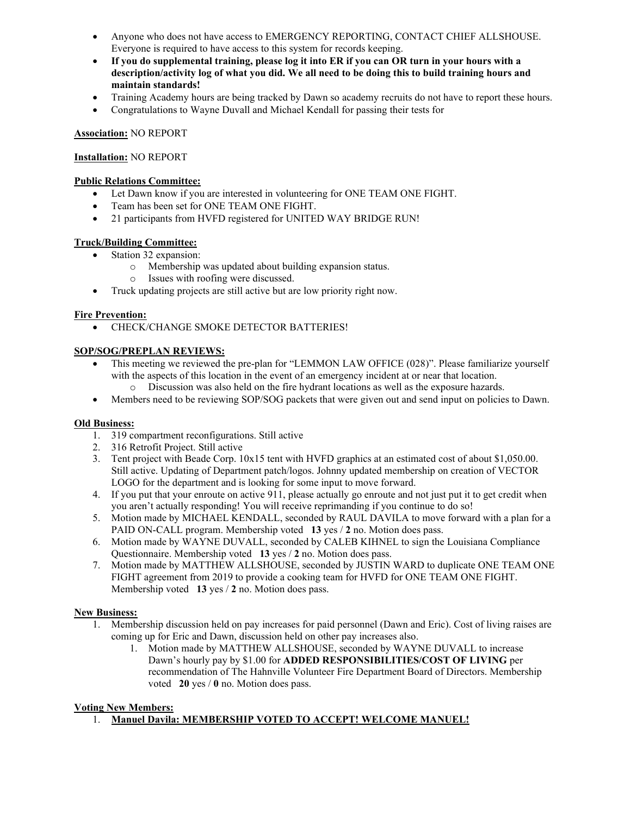- Anyone who does not have access to EMERGENCY REPORTING, CONTACT CHIEF ALLSHOUSE. Everyone is required to have access to this system for records keeping.
- **If you do supplemental training, please log it into ER if you can OR turn in your hours with a description/activity log of what you did. We all need to be doing this to build training hours and maintain standards!**
- Training Academy hours are being tracked by Dawn so academy recruits do not have to report these hours.
- Congratulations to Wayne Duvall and Michael Kendall for passing their tests for

# **Association:** NO REPORT

# **Installation:** NO REPORT

# **Public Relations Committee:**

- Let Dawn know if you are interested in volunteering for ONE TEAM ONE FIGHT.
- Team has been set for ONE TEAM ONE FIGHT.
- 21 participants from HVFD registered for UNITED WAY BRIDGE RUN!

# **Truck/Building Committee:**

- Station 32 expansion:
	- o Membership was updated about building expansion status.
	- o Issues with roofing were discussed.
- Truck updating projects are still active but are low priority right now.

# **Fire Prevention:**

• CHECK/CHANGE SMOKE DETECTOR BATTERIES!

# **SOP/SOG/PREPLAN REVIEWS:**

- This meeting we reviewed the pre-plan for "LEMMON LAW OFFICE (028)". Please familiarize yourself with the aspects of this location in the event of an emergency incident at or near that location.
	- o Discussion was also held on the fire hydrant locations as well as the exposure hazards.
- Members need to be reviewing SOP/SOG packets that were given out and send input on policies to Dawn.

# **Old Business:**

- 1. 319 compartment reconfigurations. Still active
- 2. 316 Retrofit Project. Still active
- 3. Tent project with Beade Corp. 10x15 tent with HVFD graphics at an estimated cost of about \$1,050.00. Still active. Updating of Department patch/logos. Johnny updated membership on creation of VECTOR LOGO for the department and is looking for some input to move forward.
- 4. If you put that your enroute on active 911, please actually go enroute and not just put it to get credit when you aren't actually responding! You will receive reprimanding if you continue to do so!
- 5. Motion made by MICHAEL KENDALL, seconded by RAUL DAVILA to move forward with a plan for a PAID ON-CALL program. Membership voted **13** yes / **2** no. Motion does pass.
- 6. Motion made by WAYNE DUVALL, seconded by CALEB KIHNEL to sign the Louisiana Compliance Questionnaire. Membership voted **13** yes / **2** no. Motion does pass.
- 7. Motion made by MATTHEW ALLSHOUSE, seconded by JUSTIN WARD to duplicate ONE TEAM ONE FIGHT agreement from 2019 to provide a cooking team for HVFD for ONE TEAM ONE FIGHT. Membership voted **13** yes / **2** no. Motion does pass.

# **New Business:**

- 1. Membership discussion held on pay increases for paid personnel (Dawn and Eric). Cost of living raises are coming up for Eric and Dawn, discussion held on other pay increases also.
	- 1. Motion made by MATTHEW ALLSHOUSE, seconded by WAYNE DUVALL to increase Dawn's hourly pay by \$1.00 for **ADDED RESPONSIBILITIES/COST OF LIVING** per recommendation of The Hahnville Volunteer Fire Department Board of Directors. Membership voted **20** yes / **0** no. Motion does pass.

# **Voting New Members:**

1. **Manuel Davila: MEMBERSHIP VOTED TO ACCEPT! WELCOME MANUEL!**